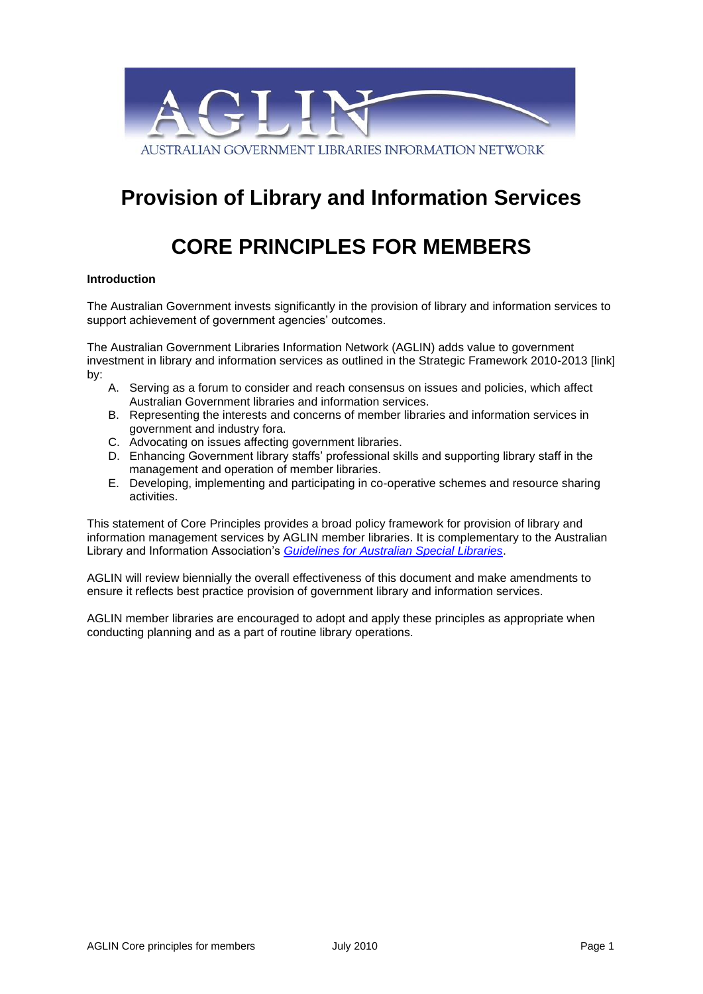

# **Provision of Library and Information Services**

# **CORE PRINCIPLES FOR MEMBERS**

#### **Introduction**

The Australian Government invests significantly in the provision of library and information services to support achievement of government agencies' outcomes.

The Australian Government Libraries Information Network (AGLIN) adds value to government investment in library and information services as outlined in the Strategic Framework 2010-2013 [link] by:

- A. Serving as a forum to consider and reach consensus on issues and policies, which affect Australian Government libraries and information services.
- B. Representing the interests and concerns of member libraries and information services in government and industry fora.
- C. Advocating on issues affecting government libraries.
- D. Enhancing Government library staffs' professional skills and supporting library staff in the management and operation of member libraries.
- E. Developing, implementing and participating in co-operative schemes and resource sharing activities.

This statement of Core Principles provides a broad policy framework for provision of library and information management services by AGLIN member libraries. It is complementary to the Australian Library and Information Association's *[Guidelines for Australian Special Libraries](http://www.alia.org.au/policies/special.libraries.html)*.

AGLIN will review biennially the overall effectiveness of this document and make amendments to ensure it reflects best practice provision of government library and information services.

AGLIN member libraries are encouraged to adopt and apply these principles as appropriate when conducting planning and as a part of routine library operations.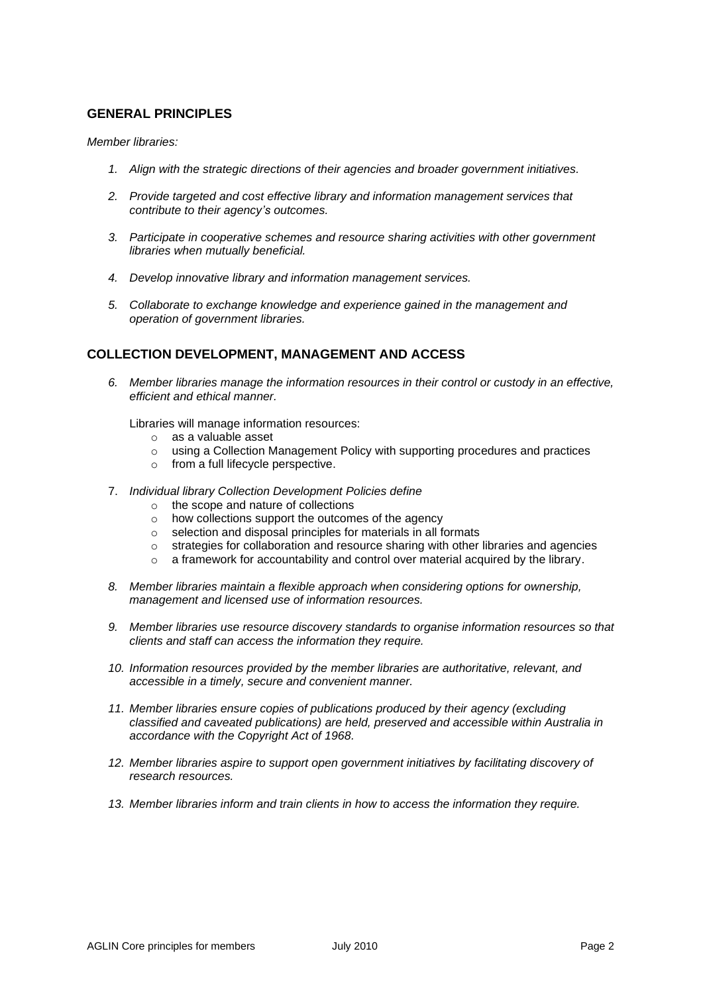## **GENERAL PRINCIPLES**

#### *Member libraries:*

- *1. Align with the strategic directions of their agencies and broader government initiatives.*
- *2. Provide targeted and cost effective library and information management services that contribute to their agency's outcomes.*
- *3. Participate in cooperative schemes and resource sharing activities with other government libraries when mutually beneficial.*
- *4. Develop innovative library and information management services.*
- *5. Collaborate to exchange knowledge and experience gained in the management and operation of government libraries.*

#### **COLLECTION DEVELOPMENT, MANAGEMENT AND ACCESS**

*6. Member libraries manage the information resources in their control or custody in an effective, efficient and ethical manner.*

Libraries will manage information resources:

- o as a valuable asset
- o using a Collection Management Policy with supporting procedures and practices
- o from a full lifecycle perspective.
- 7. *Individual library Collection Development Policies define*
	- o the scope and nature of collections
	- o how collections support the outcomes of the agency
	- o selection and disposal principles for materials in all formats
	- $\circ$  strategies for collaboration and resource sharing with other libraries and agencies
	- o a framework for accountability and control over material acquired by the library.
- *8. Member libraries maintain a flexible approach when considering options for ownership, management and licensed use of information resources.*
- *9. Member libraries use resource discovery standards to organise information resources so that clients and staff can access the information they require.*
- *10. Information resources provided by the member libraries are authoritative, relevant, and accessible in a timely, secure and convenient manner.*
- *11. Member libraries ensure copies of publications produced by their agency (excluding classified and caveated publications) are held, preserved and accessible within Australia in accordance with the Copyright Act of 1968.*
- 12. Member libraries aspire to support open government initiatives by facilitating discovery of *research resources.*
- *13. Member libraries inform and train clients in how to access the information they require.*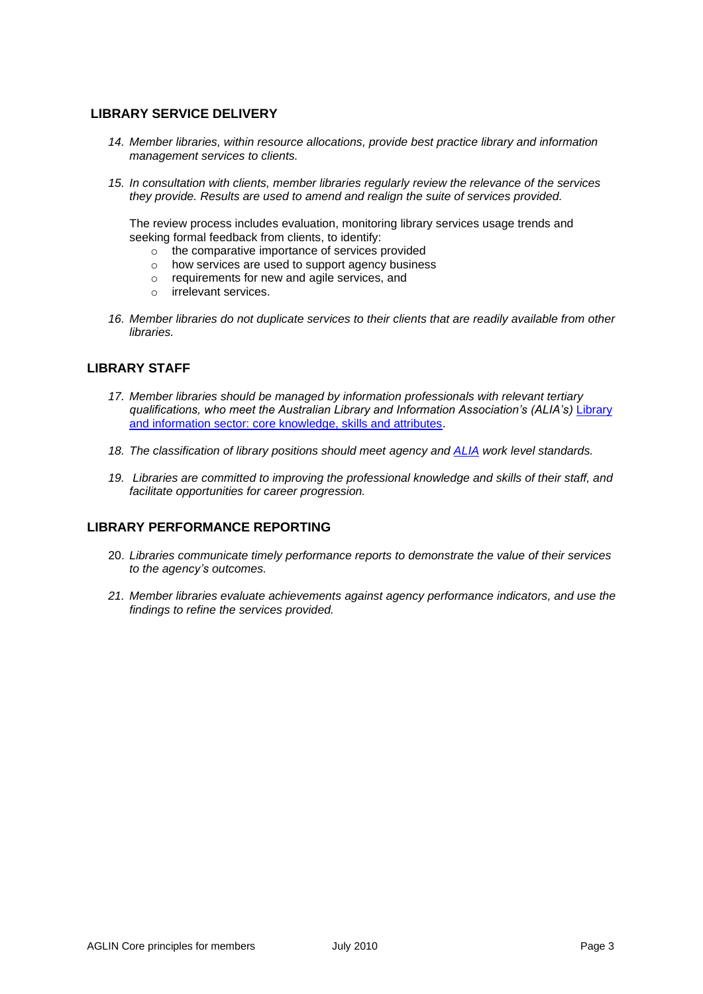# **LIBRARY SERVICE DELIVERY**

- *14. Member libraries, within resource allocations, provide best practice library and information management services to clients.*
- *15. In consultation with clients, member libraries regularly review the relevance of the services they provide. Results are used to amend and realign the suite of services provided.*

The review process includes evaluation, monitoring library services usage trends and seeking formal feedback from clients, to identify:

- o the comparative importance of services provided
- o how services are used to support agency business
- o requirements for new and agile services, and
- o irrelevant services.
- *16. Member libraries do not duplicate services to their clients that are readily available from other libraries.*

## **LIBRARY STAFF**

- *17. Member libraries should be managed by information professionals with relevant tertiary qualifications, who meet the Australian Library and Information Association's (ALIA's)* [Library](http://www.alia.org.au/policies/core.knowledge.html)  [and information sector: core knowledge, skills and attributes.](http://www.alia.org.au/policies/core.knowledge.html)
- *18. The classification of library positions should meet agency and [ALIA](http://www.alia.org.au/employment/salary.scales/roles.and.pay.html) work level standards.*
- *19. Libraries are committed to improving the professional knowledge and skills of their staff, and facilitate opportunities for career progression.*

# **LIBRARY PERFORMANCE REPORTING**

- 20. *Libraries communicate timely performance reports to demonstrate the value of their services to the agency's outcomes.*
- *21. Member libraries evaluate achievements against agency performance indicators, and use the findings to refine the services provided.*